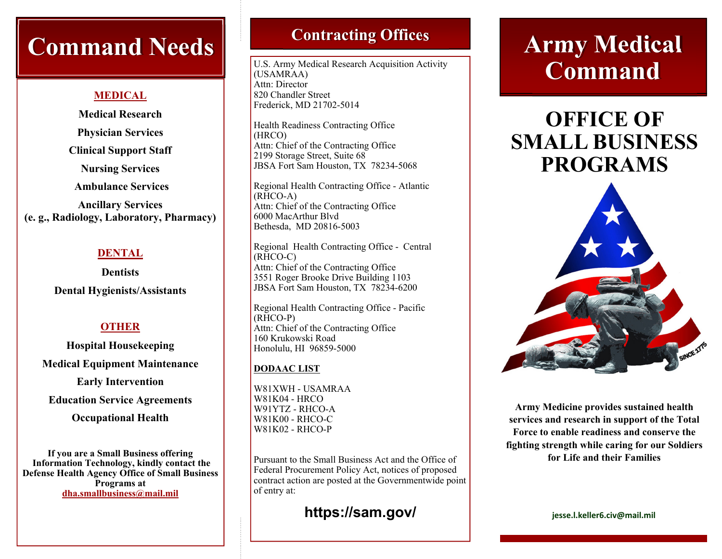# **Command Needs Contracting Offices**

#### **MEDICAL**

**Medical Research Physician Services Clinical Support Staff Nursing Services Ambulance Services Ancillary Services (e. g., Radiology, Laboratory, Pharmacy)** 

## **DENTAL**

**Dentists Dental Hygienists/Assistants** 

# **OTHER**

**Hospital Housekeeping Medical Equipment Maintenance** 

**Early Intervention** 

**Education Service Agreements** 

**Occupational Health** 

**If you are a Small Business offering Information Technology, kindly contact the Defense Health Agency Office of Small Business Programs at dha.smallbusiness@mail.mil** 

U.S. Army Medical Research Acquisition Activity (USAMRAA) Attn: Director 820 Chandler Street Frederick, MD 21702-5014

Health Readiness Contracting Office (HRCO) Attn: Chief of the Contracting Office 2199 Storage Street, Suite 68 JBSA Fort Sam Houston, TX 78234-5068

Regional Health Contracting Office - Atlantic (RHCO-A) Attn: Chief of the Contracting Office 6000 MacArthur Blvd Bethesda, MD 20816-5003

Regional Health Contracting Office - Central (RHCO-C) Attn: Chief of the Contracting Office 3551 Roger Brooke Drive Building 1103 JBSA Fort Sam Houston, TX 78234-6200

Regional Health Contracting Office - Pacific (RHCO-P) Attn: Chief of the Contracting Office 160 Krukowski Road Honolulu, HI 96859-5000

## **DODAAC LIST**

W81XWH - USAMRAA W81K04 - HRCO W91YTZ - RHCO-A W81K00 - RHCO-C W81K02 - RHCO-P

Pursuant to the Small Business Act and the Office of Federal Procurement Policy Act, notices of proposed contract action are posted at the Governmentwide point of entry at:

# **https://sam.gov/**

# **Army Medical Command**

# **OFFICE OF SMALL BUSINESS PROGRAMS**



**Army Medicine provides sustained health services and research in support of the Total Force to enable readiness and conserve the fighting strength while caring for our Soldiers for Life and their Families** 

**jesse.l.keller6.civ@mail.mil**